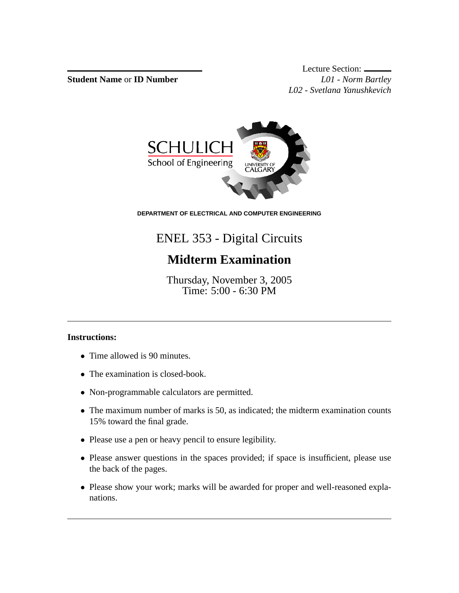**Student Name** or **ID Number** *L01 - Norm Bartley*

Lecture Section: *L02 - Svetlana Yanushkevich*



**DEPARTMENT OF ELECTRICAL AND COMPUTER ENGINEERING**

## ENEL 353 - Digital Circuits

## **Midterm Examination**

Thursday, November 3, 2005 Time: 5:00 - 6:30 PM

## **Instructions:**

- Time allowed is 90 minutes.
- The examination is closed-book.
- Non-programmable calculators are permitted.
- The maximum number of marks is 50, as indicated; the midterm examination counts 15% toward the final grade.
- Please use a pen or heavy pencil to ensure legibility.
- Please answer questions in the spaces provided; if space is insufficient, please use the back of the pages.
- Please show your work; marks will be awarded for proper and well-reasoned explanations.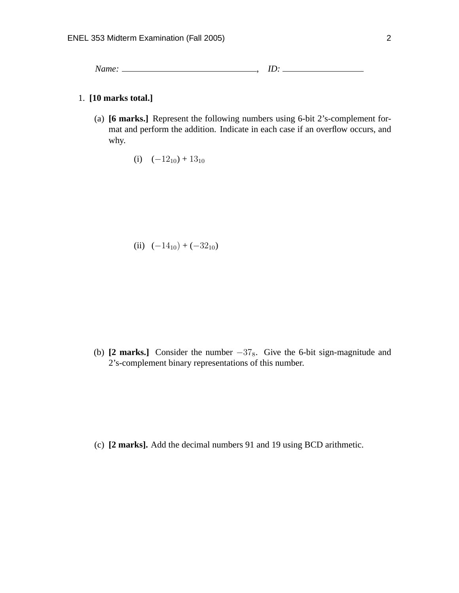*Name:* , *ID:*

## 1. **[10 marks total.]**

(a) **[6 marks.]** Represent the following numbers using 6-bit 2's-complement format and perform the addition. Indicate in each case if an overflow occurs, and why.

(i) 
$$
(-12_{10}) + 13_{10}
$$

(ii) 
$$
(-14_{10}) + (-32_{10})
$$

(b) **[2 marks.]** Consider the number  $-37_8$ . Give the 6-bit sign-magnitude and 2's-complement binary representations of this number.

(c) **[2 marks].** Add the decimal numbers 91 and 19 using BCD arithmetic.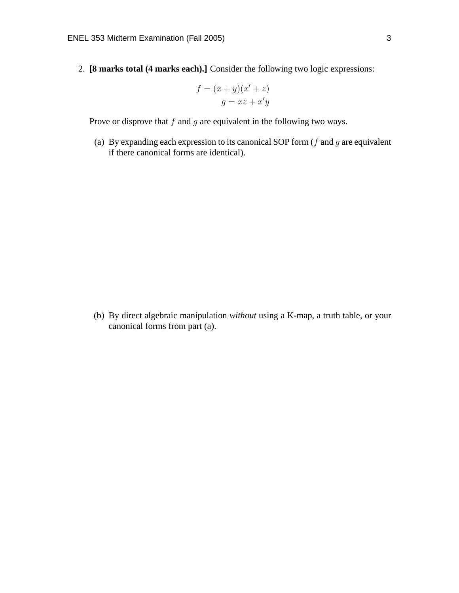2. **[8 marks total (4 marks each).]** Consider the following two logic expressions:

$$
f = (x + y)(x' + z)
$$

$$
g = xz + x'y
$$

Prove or disprove that  $f$  and  $g$  are equivalent in the following two ways.

(a) By expanding each expression to its canonical SOP form ( $f$  and  $g$  are equivalent if there canonical forms are identical).

(b) By direct algebraic manipulation *without* using a K-map, a truth table, or your canonical forms from part (a).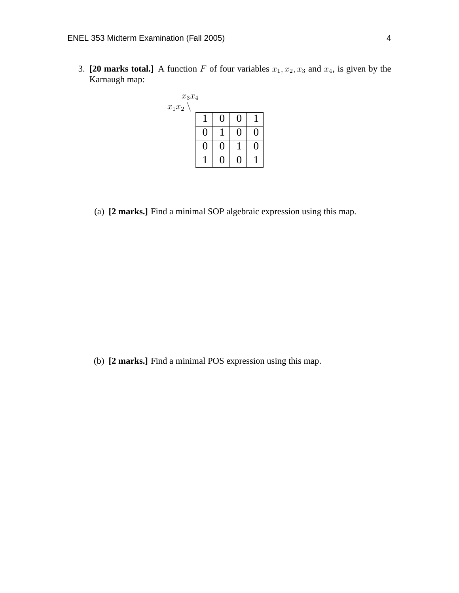3. **[20 marks total.]** A function F of four variables  $x_1, x_2, x_3$  and  $x_4$ , is given by the Karnaugh map:



(a) **[2 marks.]** Find a minimal SOP algebraic expression using this map.

(b) **[2 marks.]** Find a minimal POS expression using this map.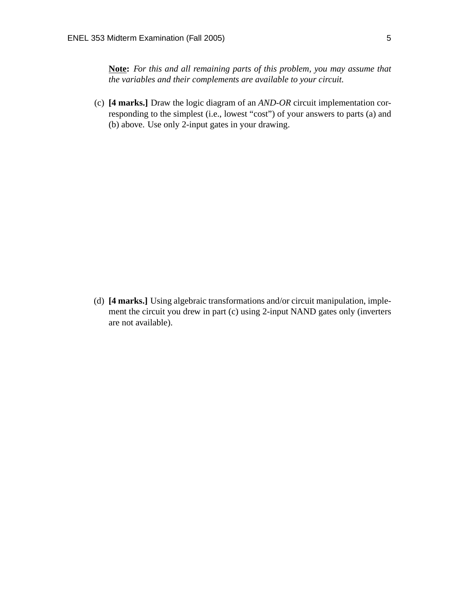**Note:** *For this and all remaining parts of this problem, you may assume that the variables and their complements are available to your circuit.*

(c) **[4 marks.]** Draw the logic diagram of an *AND-OR* circuit implementation corresponding to the simplest (i.e., lowest "cost") of your answers to parts (a) and (b) above. Use only 2-input gates in your drawing.

(d) **[4 marks.]** Using algebraic transformations and/or circuit manipulation, implement the circuit you drew in part (c) using 2-input NAND gates only (inverters are not available).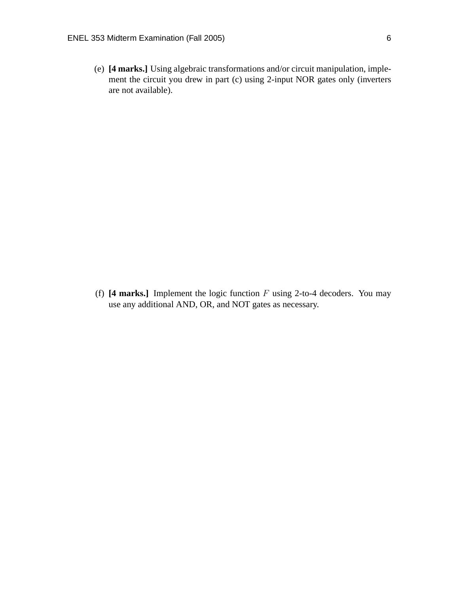(e) **[4 marks.]** Using algebraic transformations and/or circuit manipulation, implement the circuit you drew in part (c) using 2-input NOR gates only (inverters are not available).

(f)  $[4 \text{ marks.}]$  Implement the logic function  $F$  using 2-to-4 decoders. You may use any additional AND, OR, and NOT gates as necessary.